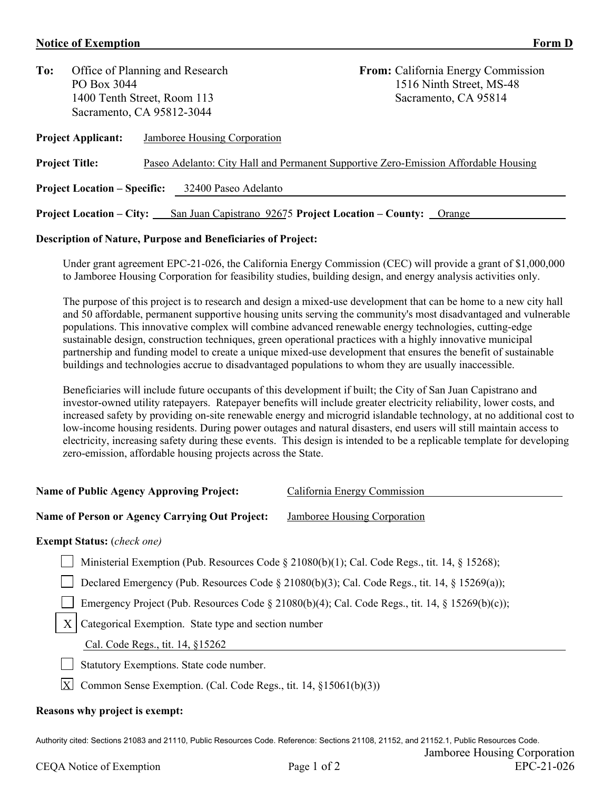## **Notice of Exemption Form D**

| To:                                                         |                                 | Office of Planning and Research                             | <b>From:</b> California Energy Commission                                           |  |  |  |
|-------------------------------------------------------------|---------------------------------|-------------------------------------------------------------|-------------------------------------------------------------------------------------|--|--|--|
|                                                             | PO Box 3044                     |                                                             | 1516 Ninth Street, MS-48                                                            |  |  |  |
|                                                             |                                 | 1400 Tenth Street, Room 113                                 | Sacramento, CA 95814                                                                |  |  |  |
|                                                             |                                 | Sacramento, CA 95812-3044                                   |                                                                                     |  |  |  |
|                                                             | <b>Project Applicant:</b>       | Jamboree Housing Corporation                                |                                                                                     |  |  |  |
|                                                             | <b>Project Title:</b>           |                                                             | Paseo Adelanto: City Hall and Permanent Supportive Zero-Emission Affordable Housing |  |  |  |
| <b>Project Location – Specific:</b><br>32400 Paseo Adelanto |                                 |                                                             |                                                                                     |  |  |  |
|                                                             | <b>Project Location – City:</b> | San Juan Capistrano 92675 Project Location – County: Orange |                                                                                     |  |  |  |
|                                                             |                                 |                                                             |                                                                                     |  |  |  |

## **Description of Nature, Purpose and Beneficiaries of Project:**

Under grant agreement EPC-21-026, the California Energy Commission (CEC) will provide a grant of \$1,000,000 to Jamboree Housing Corporation for feasibility studies, building design, and energy analysis activities only.

The purpose of this project is to research and design a mixed-use development that can be home to a new city hall and 50 affordable, permanent supportive housing units serving the community's most disadvantaged and vulnerable populations. This innovative complex will combine advanced renewable energy technologies, cutting-edge sustainable design, construction techniques, green operational practices with a highly innovative municipal partnership and funding model to create a unique mixed-use development that ensures the benefit of sustainable buildings and technologies accrue to disadvantaged populations to whom they are usually inaccessible.

Beneficiaries will include future occupants of this development if built; the City of San Juan Capistrano and investor-owned utility ratepayers. Ratepayer benefits will include greater electricity reliability, lower costs, and increased safety by providing on-site renewable energy and microgrid islandable technology, at no additional cost to low-income housing residents. During power outages and natural disasters, end users will still maintain access to electricity, increasing safety during these events. This design is intended to be a replicable template for developing zero-emission, affordable housing projects across the State.

| <b>Name of Public Agency Approving Project:</b>                                                     | California Energy Commission                                                                    |  |  |  |  |  |
|-----------------------------------------------------------------------------------------------------|-------------------------------------------------------------------------------------------------|--|--|--|--|--|
| Name of Person or Agency Carrying Out Project:                                                      | Jamboree Housing Corporation                                                                    |  |  |  |  |  |
| <b>Exempt Status:</b> (check one)                                                                   |                                                                                                 |  |  |  |  |  |
| Ministerial Exemption (Pub. Resources Code § 21080(b)(1); Cal. Code Regs., tit. 14, § 15268);       |                                                                                                 |  |  |  |  |  |
| Declared Emergency (Pub. Resources Code $\S$ 21080(b)(3); Cal. Code Regs., tit. 14, $\S$ 15269(a)); |                                                                                                 |  |  |  |  |  |
|                                                                                                     | Emergency Project (Pub. Resources Code § 21080(b)(4); Cal. Code Regs., tit. 14, § 15269(b)(c)); |  |  |  |  |  |
| X<br>Categorical Exemption. State type and section number                                           |                                                                                                 |  |  |  |  |  |
| Cal. Code Regs., tit. 14, §15262                                                                    |                                                                                                 |  |  |  |  |  |
| Statutory Exemptions. State code number.                                                            |                                                                                                 |  |  |  |  |  |
| $\boldsymbol{\mathrm{X}}$<br>Common Sense Exemption. (Cal. Code Regs., tit. 14, §15061(b)(3))       |                                                                                                 |  |  |  |  |  |
| Reasons why project is exempt:                                                                      |                                                                                                 |  |  |  |  |  |

Authority cited: Sections 21083 and 21110, Public Resources Code. Reference: Sections 21108, 21152, and 21152.1, Public Resources Code. Jamboree Housing Corporation